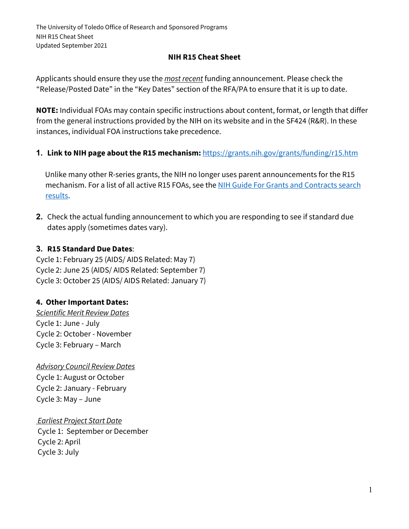## **NIH R15 Cheat Sheet**

Applicants should ensure they use the *most recent* funding announcement. Please check the "Release/Posted Date" in the "Key Dates" section of the RFA/PA to ensure that it is up to date.

**NOTE:** Individual FOAs may contain specific instructions about content, format, or length that differ from the general instructions provided by the NIH on its website and in the SF424 (R&R). In these instances, individual FOA instructions take precedence.

**1. Link to NIH page about the R15 mechanism:** <https://grants.nih.gov/grants/funding/r15.htm>

Unlike many other R-series grants, the NIH no longer uses parent announcements for the R15 mechanism. For a list of all active R15 FOAs, see the NIH Guide For Grants and Contracts search [results.](https://grants.nih.gov/funding/searchguide/index.html#/?query=R15&type=active,notices&foa=all&orgs=all&ac=r15&ct=all&pfoa=all&date=01021991-09202018&fields=all)

**2.** Check the actual funding announcement to which you are responding to see if standard due dates apply (sometimes dates vary).

#### **3. R15 Standard Due Dates**:

Cycle 1: February 25 (AIDS/ AIDS Related: May 7) Cycle 2: June 25 (AIDS/ AIDS Related: September 7) Cycle 3: October 25 (AIDS/ AIDS Related: January 7)

#### **4. Other Important Dates:**

*Scientific Merit Review Dates* Cycle 1: June - July Cycle 2: October - November Cycle 3: February – March

*Advisory Council Review Dates* Cycle 1: August or October Cycle 2: January - February Cycle 3: May – June

*Earliest Project Start Date* Cycle 1: September or December Cycle 2: April Cycle 3: July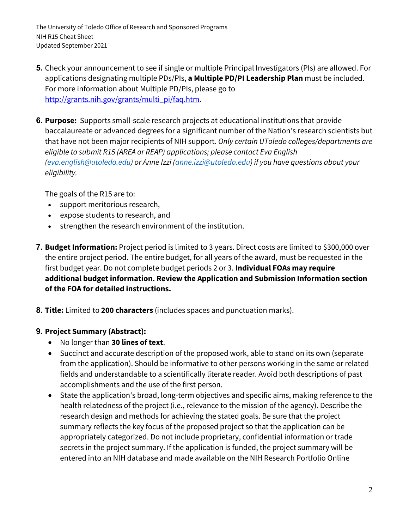- **5.** Check your announcement to see if single or multiple Principal Investigators (PIs) are allowed. For applications designating multiple PDs/PIs, **a Multiple PD/PI Leadership Plan** must be included. For more information about Multiple PD/PIs, please go to http://grants.nih.gov/grants/multi\_pi/faq.htm.
- **6. Purpose:** Supports small-scale research projects at educational institutions that provide baccalaureate or advanced degrees for a significant number of the Nation's research scientists but that have not been major recipients of NIH support. *Only certain UToledo colleges/departments are eligible to submit R15 (AREA or REAP) applications; please contact Eva English [\(eva.english@utoledo.edu\)](mailto:eva.english@utoledo.edu) or Anne Izzi [\(anne.izzi@utoledo.edu\)](mailto:anne.izzi@utoledo.edu) if you have questions about your eligibility.*

The goals of the R15 are to:

- support meritorious research,
- expose students to research, and
- strengthen the research environment of the institution.
- **7. Budget Information:** Project period is limited to 3 years. Direct costs are limited to \$300,000 over the entire project period. The entire budget, for all years of the award, must be requested in the first budget year. Do not complete budget periods 2 or 3. **Individual FOAs may require additional budget information. Review the Application and Submission Information section of the FOA for detailed instructions.**
- **8. Title:** Limited to **200 characters** (includes spaces and punctuation marks).

## **9. Project Summary (Abstract):**

- No longer than **30 lines of text**.
- Succinct and accurate description of the proposed work, able to stand on its own (separate from the application). Should be informative to other persons working in the same or related fields and understandable to a scientifically literate reader. Avoid both descriptions of past accomplishments and the use of the first person.
- State the application's broad, long-term objectives and specific aims, making reference to the health relatedness of the project (i.e., relevance to the mission of the agency). Describe the research design and methods for achieving the stated goals. Be sure that the project summary reflects the key focus of the proposed project so that the application can be appropriately categorized. Do not include proprietary, confidential information or trade secrets in the project summary. If the application is funded, the project summary will be entered into an NIH database and made available on the NIH Research Portfolio Online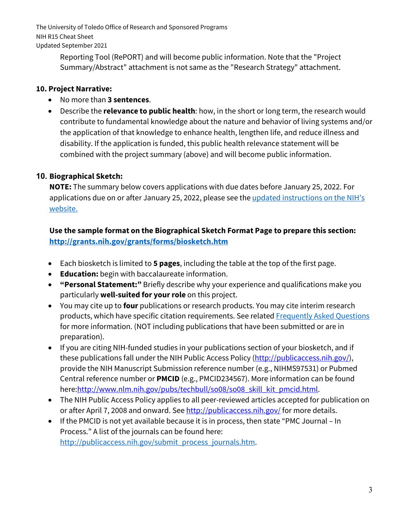> Reporting Tool (RePORT) and will become public information. Note that the "Project Summary/Abstract" attachment is not same as the "Research Strategy" attachment.

## **10. Project Narrative:**

- No more than **3 sentences**.
- Describe the **relevance to public health**: how, in the short or long term, the research would contribute to fundamental knowledge about the nature and behavior of living systems and/or the application of that knowledge to enhance health, lengthen life, and reduce illness and disability. If the application is funded, this public health relevance statement will be combined with the project summary (above) and will become public information.

# **10. Biographical Sketch:**

**NOTE:** The summary below covers applications with due dates before January 25, 2022. For applications due on or after January 25, 2022, please see the updated instructions on the NIH's [website.](https://grants.nih.gov/grants/forms/biosketch.htm)

**Use the sample format on the Biographical Sketch Format Page to prepare this section: <http://grants.nih.gov/grants/forms/biosketch.htm>**

- Each biosketch is limited to **5 pages**, including the table at the top of the first page.
- **Education:** begin with baccalaureate information.
- **"Personal Statement:"** Briefly describe why your experience and qualifications make you particularly **well-suited for your role** on this project.
- You may cite up to **four** publications or research products. You may cite interim research products, which have specific citation requirements. See related [Frequently Asked Questions](http://grants.nih.gov/grants/interim_product_faqs.htm) for more information. (NOT including publications that have been submitted or are in preparation).
- If you are citing NIH-funded studies in your publications section of your biosketch, and if these publications fall under the NIH Public Access Policy (http://publicaccess.nih.gov/), provide the NIH Manuscript Submission reference number (e.g., NIHMS97531) or Pubmed Central reference number or **PMCID** (e.g., PMCID234567). More information can be found here:http://www.nlm.nih.gov/pubs/techbull/so08/so08\_skill\_kit\_pmcid.html.
- The NIH Public Access Policy applies to all peer-reviewed articles accepted for publication on or after April 7, 2008 and onward. See http://publicaccess.nih.gov/ for more details.
- If the PMCID is not yet available because it is in process, then state "PMC Journal In Process." A list of the journals can be found here: [http://publicaccess.nih.gov/submit\\_process\\_journals.htm.](http://publicaccess.nih.gov/submit_process_journals.htm)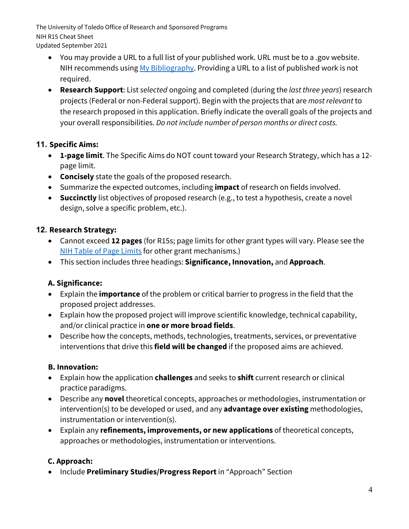- Updated September 2021
	- You may provide a URL to a full list of your published work. URL must be to a .gov website. NIH recommends using [My Bibliography.](http://www.ncbi.nlm.nih.gov/books/NBK53595/) Providing a URL to a list of published work is not required.
	- **Research Support**: List *selected* ongoing and completed (during the *last three years*) research projects (Federal or non-Federal support). Begin with the projects that are *most relevant* to the research proposed in this application. Briefly indicate the overall goals of the projects and your overall responsibilities. *Do not include number of person months or direct costs.*

#### **11. Specific Aims:**

- **1-page limit**. The Specific Aims do NOT count toward your Research Strategy, which has a 12 page limit.
- **Concisely** state the goals of the proposed research.
- Summarize the expected outcomes, including **impact** of research on fields involved.
- **Succinctly** list objectives of proposed research (e.g., to test a hypothesis, create a novel design, solve a specific problem, etc.).

#### **12. Research Strategy:**

- Cannot exceed **12 pages** (for R15s; page limits for other grant types will vary. Please see the [NIH Table of Page Limits](https://grants.nih.gov/grants/how-to-apply-application-guide/format-and-write/page-limits.htm) for other grant mechanisms.)
- This section includes three headings: **Significance, Innovation,** and **Approach**.

## **A. Significance:**

- Explain the **importance** of the problem or critical barrier to progress in the field that the proposed project addresses.
- Explain how the proposed project will improve scientific knowledge, technical capability, and/or clinical practice in **one or more broad fields**.
- Describe how the concepts, methods, technologies, treatments, services, or preventative interventions that drive this **field will be changed** if the proposed aims are achieved.

#### **B. Innovation:**

- Explain how the application **challenges** and seeks to **shift** current research or clinical practice paradigms.
- Describe any **novel** theoretical concepts, approaches or methodologies, instrumentation or intervention(s) to be developed or used, and any **advantage over existing** methodologies, instrumentation or intervention(s).
- Explain any **refinements, improvements, or new applications** of theoretical concepts, approaches or methodologies, instrumentation or interventions.

## **C. Approach:**

• Include **Preliminary Studies/Progress Report**in "Approach" Section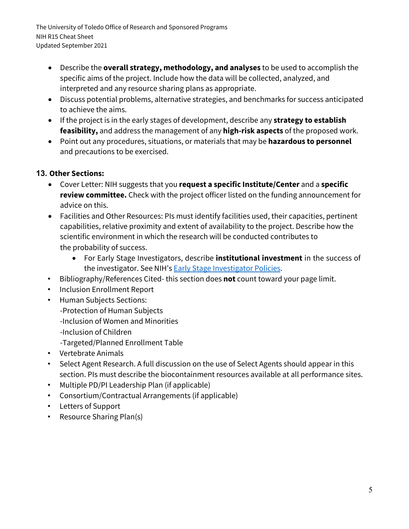- Describe the **overall strategy, methodology, and analyses** to be used to accomplish the specific aims of the project. Include how the data will be collected, analyzed, and interpreted and any resource sharing plans as appropriate.
- Discuss potential problems, alternative strategies, and benchmarks for success anticipated to achieve the aims.
- If the project is in the early stages of development, describe any **strategy to establish feasibility,** and address the management of any **high-risk aspects** of the proposed work.
- Point out any procedures, situations, or materials that may be **hazardous to personnel** and precautions to be exercised.

# **13. Other Sections:**

- Cover Letter: NIH suggests that you **request a specific Institute/Center** and a **specific review committee.** Check with the project officer listed on the funding announcement for advice on this.
- Facilities and Other Resources: PIs must identify facilities used, their capacities, pertinent capabilities, relative proximity and extent of availability to the project. Describe how the scientific environment in which the research will be conducted contributes to the probability of success.
	- For Early Stage Investigators, describe **institutional investment** in the success of the investigator. See NIH's [Early Stage Investigator Policies.](https://grants.nih.gov/policy/early-stage/index.htm)
- Bibliography/References Cited- this section does **not** count toward your page limit.
- Inclusion Enrollment Report
- Human Subjects Sections: -Protection of Human Subjects -Inclusion of Women and Minorities -Inclusion of Children -Targeted/Planned Enrollment Table
- Vertebrate Animals
- Select Agent Research. A full discussion on the use of Select Agents should appear in this section. PIs must describe the biocontainment resources available at all performance sites.
- Multiple PD/PI Leadership Plan (if applicable)
- Consortium/Contractual Arrangements (if applicable)
- Letters of Support
- Resource Sharing Plan(s)